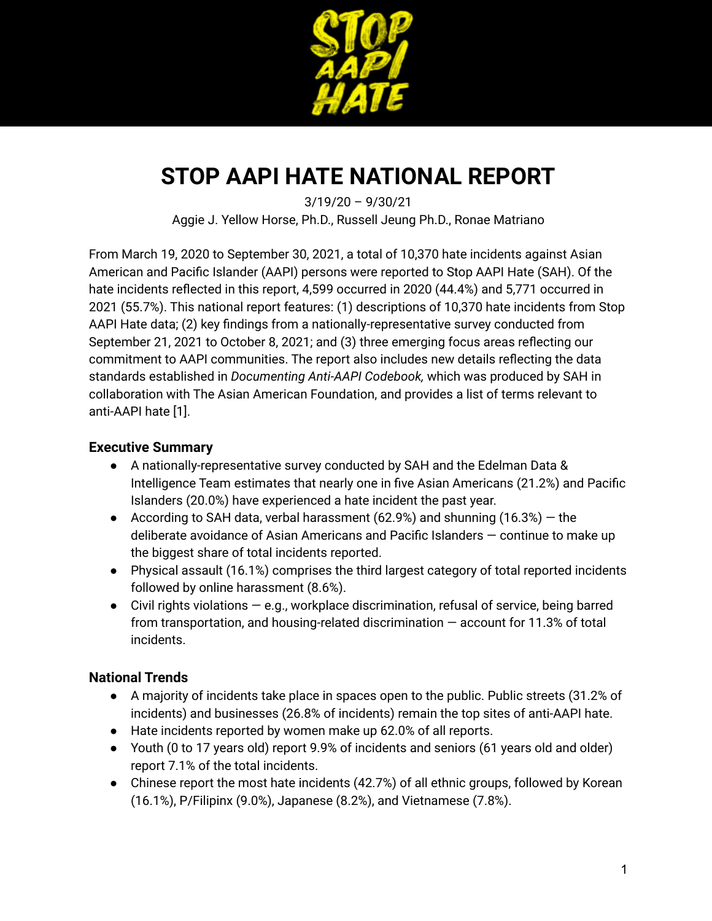

# **STOP AAPI HATE NATIONAL REPORT**

3/19/20 – 9/30/21 Aggie J. Yellow Horse, Ph.D., Russell Jeung Ph.D., Ronae Matriano

From March 19, 2020 to September 30, 2021, a total of 10,370 hate incidents against Asian American and Pacific Islander (AAPI) persons were reported to Stop AAPI Hate (SAH). Of the hate incidents reflected in this report, 4,599 occurred in 2020 (44.4%) and 5,771 occurred in 2021 (55.7%). This national report features: (1) descriptions of 10,370 hate incidents from Stop AAPI Hate data; (2) key findings from a nationally-representative survey conducted from September 21, 2021 to October 8, 2021; and (3) three emerging focus areas reflecting our commitment to AAPI communities. The report also includes new details reflecting the data standards established in *Documenting Anti-AAPI Codebook,* which was produced by SAH in collaboration with The Asian American Foundation, and provides a list of terms relevant to anti-AAPI hate [1].

# **Executive Summary**

- A nationally-representative survey conducted by SAH and the Edelman Data & Intelligence Team estimates that nearly one in five Asian Americans (21.2%) and Pacific Islanders (20.0%) have experienced a hate incident the past year.
- According to SAH data, verbal harassment (62.9%) and shunning (16.3%)  $-$  the deliberate avoidance of Asian Americans and Pacific Islanders — continue to make up the biggest share of total incidents reported.
- Physical assault (16.1%) comprises the third largest category of total reported incidents followed by online harassment (8.6%).
- $\bullet$  Civil rights violations  $-$  e.g., workplace discrimination, refusal of service, being barred from transportation, and housing-related discrimination — account for 11.3% of total incidents.

# **National Trends**

- A majority of incidents take place in spaces open to the public. Public streets (31.2% of incidents) and businesses (26.8% of incidents) remain the top sites of anti-AAPI hate.
- Hate incidents reported by women make up 62.0% of all reports.
- Youth (0 to 17 years old) report 9.9% of incidents and seniors (61 years old and older) report 7.1% of the total incidents.
- Chinese report the most hate incidents (42.7%) of all ethnic groups, followed by Korean (16.1%), P/Filipinx (9.0%), Japanese (8.2%), and Vietnamese (7.8%).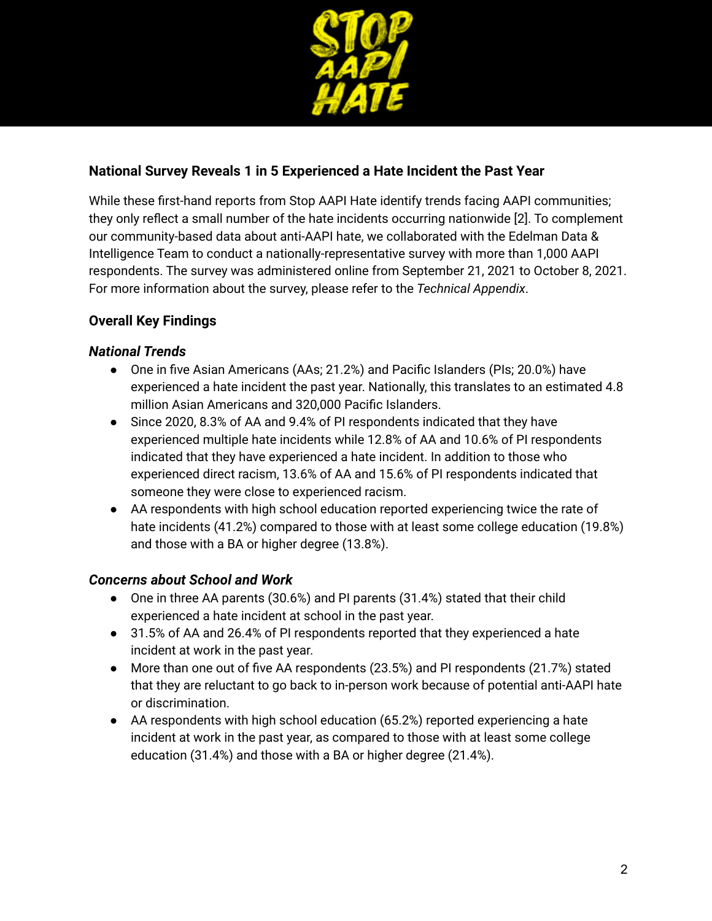

# **National Survey Reveals 1 in 5 Experienced a Hate Incident the Past Year**

While these first-hand reports from Stop AAPI Hate identify trends facing AAPI communities; they only reflect a small number of the hate incidents occurring nationwide [2]. To complement our community-based data about anti-AAPI hate, we collaborated with the Edelman Data & Intelligence Team to conduct a nationally-representative survey with more than 1,000 AAPI respondents. The survey was administered online from September 21, 2021 to October 8, 2021. For more information about the survey, please refer to the *Technical Appendix*.

# **Overall Key Findings**

### *National Trends*

- One in five Asian Americans (AAs; 21.2%) and Pacific Islanders (PIs; 20.0%) have experienced a hate incident the past year. Nationally, this translates to an estimated 4.8 million Asian Americans and 320,000 Pacific Islanders.
- Since 2020, 8.3% of AA and 9.4% of PI respondents indicated that they have experienced multiple hate incidents while 12.8% of AA and 10.6% of PI respondents indicated that they have experienced a hate incident. In addition to those who experienced direct racism, 13.6% of AA and 15.6% of PI respondents indicated that someone they were close to experienced racism.
- AA respondents with high school education reported experiencing twice the rate of hate incidents (41.2%) compared to those with at least some college education (19.8%) and those with a BA or higher degree (13.8%).

# *Concerns about School and Work*

- One in three AA parents (30.6%) and PI parents (31.4%) stated that their child experienced a hate incident at school in the past year.
- 31.5% of AA and 26.4% of PI respondents reported that they experienced a hate incident at work in the past year.
- More than one out of five AA respondents (23.5%) and PI respondents (21.7%) stated that they are reluctant to go back to in-person work because of potential anti-AAPI hate or discrimination.
- AA respondents with high school education (65.2%) reported experiencing a hate incident at work in the past year, as compared to those with at least some college education (31.4%) and those with a BA or higher degree (21.4%).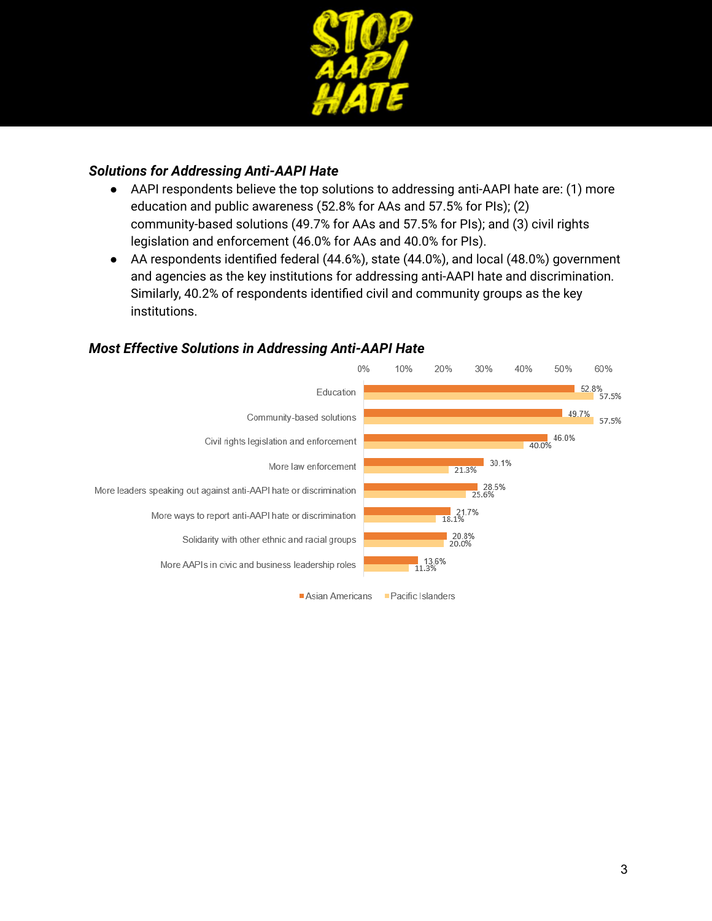

### *Solutions for Addressing Anti-AAPI Hate*

- AAPI respondents believe the top solutions to addressing anti-AAPI hate are: (1) more education and public awareness (52.8% for AAs and 57.5% for PIs); (2) community-based solutions (49.7% for AAs and 57.5% for PIs); and (3) civil rights legislation and enforcement (46.0% for AAs and 40.0% for PIs).
- AA respondents identified federal (44.6%), state (44.0%), and local (48.0%) government and agencies as the key institutions for addressing anti-AAPI hate and discrimination. Similarly, 40.2% of respondents identified civil and community groups as the key institutions.



### *Most Effective Solutions in Addressing Anti-AAPI Hate*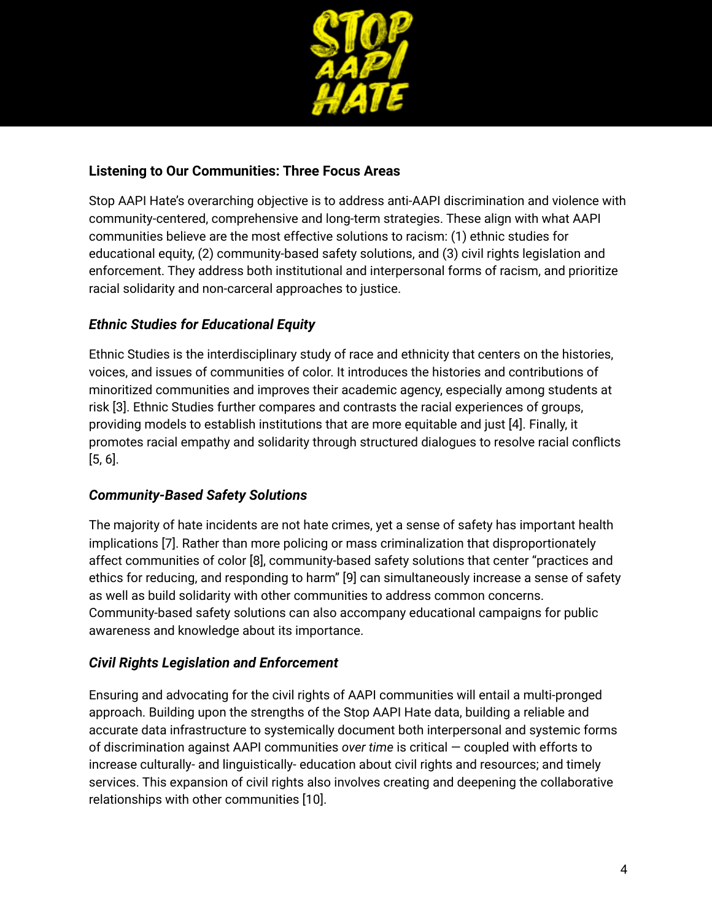

### **Listening to Our Communities: Three Focus Areas**

Stop AAPI Hate's overarching objective is to address anti-AAPI discrimination and violence with community-centered, comprehensive and long-term strategies. These align with what AAPI communities believe are the most effective solutions to racism: (1) ethnic studies for educational equity, (2) community-based safety solutions, and (3) civil rights legislation and enforcement. They address both institutional and interpersonal forms of racism, and prioritize racial solidarity and non-carceral approaches to justice.

# *Ethnic Studies for Educational Equity*

Ethnic Studies is the interdisciplinary study of race and ethnicity that centers on the histories, voices, and issues of communities of color. It introduces the histories and contributions of minoritized communities and improves their academic agency, especially among students at risk [3]. Ethnic Studies further compares and contrasts the racial experiences of groups, providing models to establish institutions that are more equitable and just [4]. Finally, it promotes racial empathy and solidarity through structured dialogues to resolve racial conflicts [5, 6].

# *Community-Based Safety Solutions*

The majority of hate incidents are not hate crimes, yet a sense of safety has important health implications [7]. Rather than more policing or mass criminalization that disproportionately affect communities of color [8], community-based safety solutions that center "practices and ethics for reducing, and responding to harm" [9] can simultaneously increase a sense of safety as well as build solidarity with other communities to address common concerns. Community-based safety solutions can also accompany educational campaigns for public awareness and knowledge about its importance.

### *Civil Rights Legislation and Enforcement*

Ensuring and advocating for the civil rights of AAPI communities will entail a multi-pronged approach. Building upon the strengths of the Stop AAPI Hate data, building a reliable and accurate data infrastructure to systemically document both interpersonal and systemic forms of discrimination against AAPI communities *over time* is critical — coupled with efforts to increase culturally- and linguistically- education about civil rights and resources; and timely services. This expansion of civil rights also involves creating and deepening the collaborative relationships with other communities [10].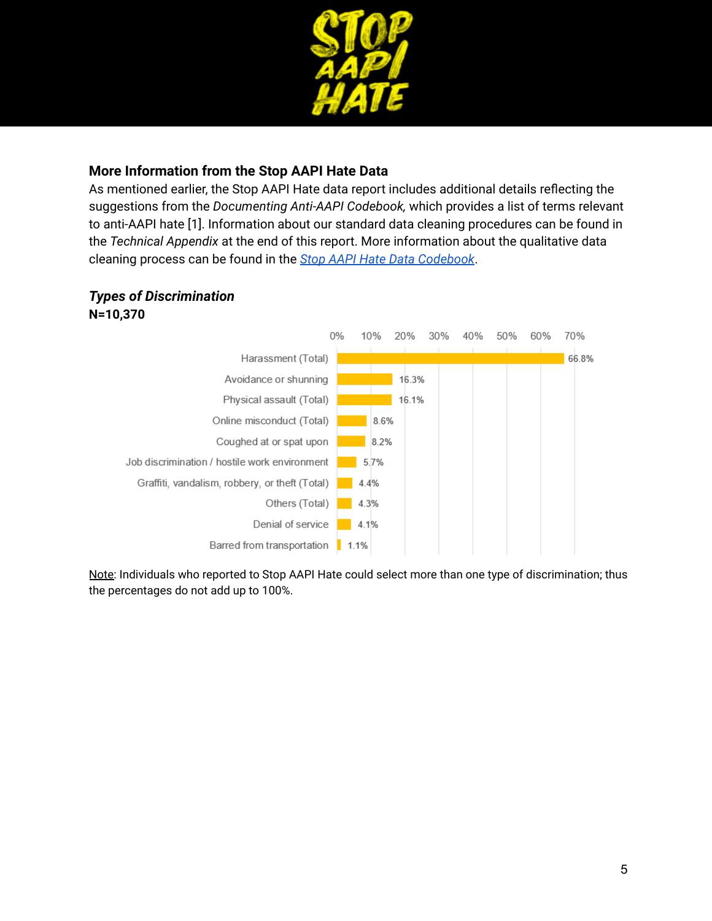

# **More Information from the Stop AAPI Hate Data**

As mentioned earlier, the Stop AAPI Hate data report includes additional details reflecting the suggestions from the *Documenting Anti-AAPI Codebook,* which provides a list of terms relevant to anti-AAPI hate [1]. Information about our standard data cleaning procedures can be found in the *Technical Appendix* at the end of this report. More information about the qualitative data cleaning process can be found in the *Stop AAPI Hate Data [Codebook](https://docs.google.com/document/d/1BPgtHzqmq7naDaqcy7IBbC47d_vuXQW4/edit?usp=sharing&ouid=101741014034444415254&rtpof=true&sd=true)*.

# *Types of Discrimination*

**N=10,370**



Note: Individuals who reported to Stop AAPI Hate could select more than one type of discrimination; thus the percentages do not add up to 100%.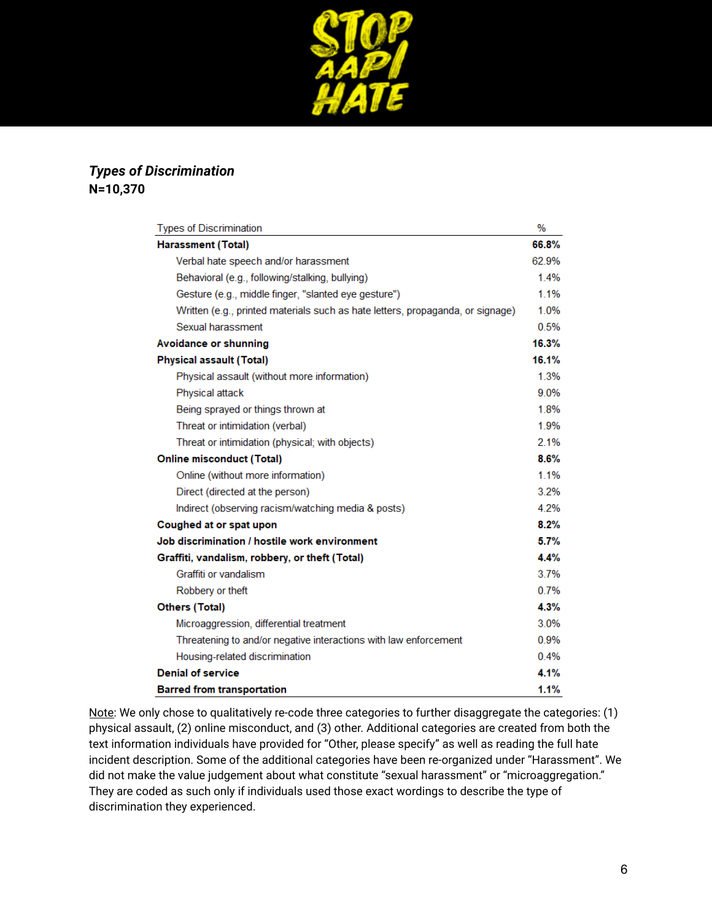

# *Types of Discrimination* **N=10,370**

| <b>Types of Discrimination</b>                                                 | $\%$  |
|--------------------------------------------------------------------------------|-------|
| Harassment (Total)                                                             | 66.8% |
| Verbal hate speech and/or harassment                                           | 62.9% |
| Behavioral (e.g., following/stalking, bullying)                                | 1.4%  |
| Gesture (e.g., middle finger, "slanted eye gesture")                           | 1.1%  |
| Written (e.g., printed materials such as hate letters, propaganda, or signage) | 1.0%  |
| Sexual harassment                                                              | 0.5%  |
| Avoidance or shunning                                                          | 16.3% |
| <b>Physical assault (Total)</b>                                                | 16.1% |
| Physical assault (without more information)                                    | 1.3%  |
| Physical attack                                                                | 9.0%  |
| Being sprayed or things thrown at                                              | 1.8%  |
| Threat or intimidation (verbal)                                                | 1.9%  |
| Threat or intimidation (physical; with objects)                                | 2.1%  |
| <b>Online misconduct (Total)</b>                                               | 8.6%  |
| Online (without more information)                                              | 1.1%  |
| Direct (directed at the person)                                                | 3.2%  |
| Indirect (observing racism/watching media & posts)                             | 4.2%  |
| Coughed at or spat upon                                                        | 8.2%  |
| Job discrimination / hostile work environment                                  | 5.7%  |
| Graffiti, vandalism, robbery, or theft (Total)                                 | 4.4%  |
| Graffiti or vandalism                                                          | 3.7%  |
| Robbery or theft                                                               | 0.7%  |
| <b>Others (Total)</b>                                                          | 4.3%  |
| Microaggression, differential treatment                                        | 3.0%  |
| Threatening to and/or negative interactions with law enforcement               | 0.9%  |
| Housing-related discrimination                                                 | 0.4%  |
| <b>Denial of service</b>                                                       | 4.1%  |
| <b>Barred from transportation</b>                                              | 1.1%  |

Note: We only chose to qualitatively re-code three categories to further disaggregate the categories: (1) physical assault, (2) online misconduct, and (3) other. Additional categories are created from both the text information individuals have provided for "Other, please specify" as well as reading the full hate incident description. Some of the additional categories have been re-organized under "Harassment". We did not make the value judgement about what constitute "sexual harassment" or "microaggregation." They are coded as such only if individuals used those exact wordings to describe the type of discrimination they experienced.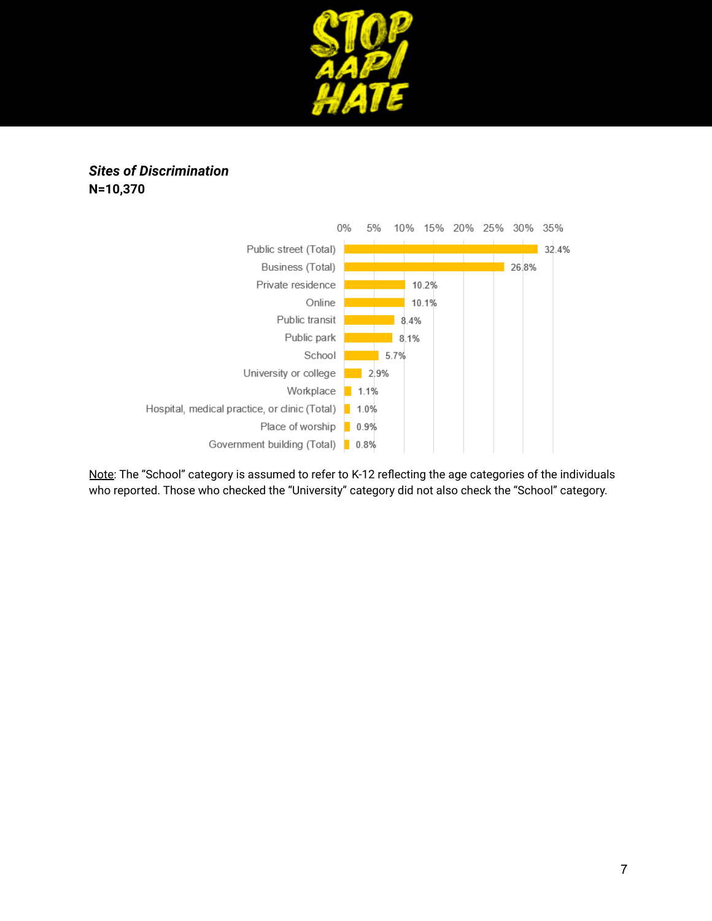

# *Sites of Discrimination* **N=10,370**



Note: The "School" category is assumed to refer to K-12 reflecting the age categories of the individuals who reported. Those who checked the "University" category did not also check the "School" category.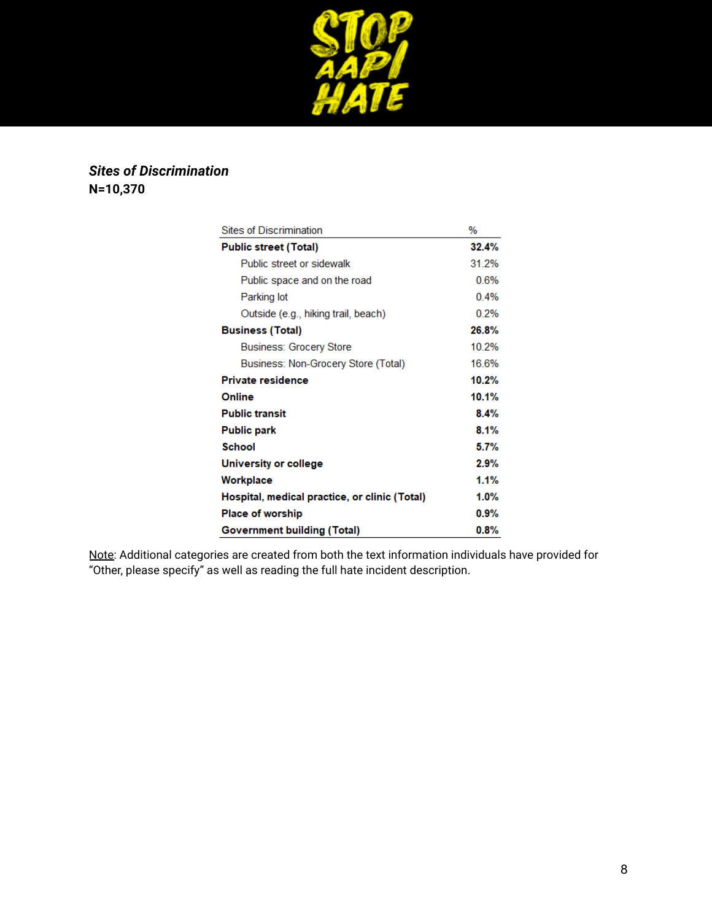

# *Sites of Discrimination* **N=10,370**

| Sites of Discrimination                       | %       |
|-----------------------------------------------|---------|
| <b>Public street (Total)</b>                  | 32.4%   |
| Public street or sidewalk                     | 31.2%   |
| Public space and on the road                  | 0.6%    |
| Parking lot                                   | 0.4%    |
| Outside (e.g., hiking trail, beach)           | 0.2%    |
| <b>Business (Total)</b>                       | 26.8%   |
| Business: Grocery Store                       | 10.2%   |
| Business: Non-Grocery Store (Total)           | 16.6%   |
| <b>Private residence</b>                      | 10.2%   |
| Online                                        | 10.1%   |
| <b>Public transit</b>                         | 8.4%    |
| <b>Public park</b>                            | 8.1%    |
| School                                        | 5.7%    |
| University or college                         | 2.9%    |
| Workplace                                     | 1.1%    |
| Hospital, medical practice, or clinic (Total) | $1.0\%$ |
| <b>Place of worship</b>                       | 0.9%    |
| <b>Government building (Total)</b>            | $0.8\%$ |

Note: Additional categories are created from both the text information individuals have provided for "Other, please specify" as well as reading the full hate incident description.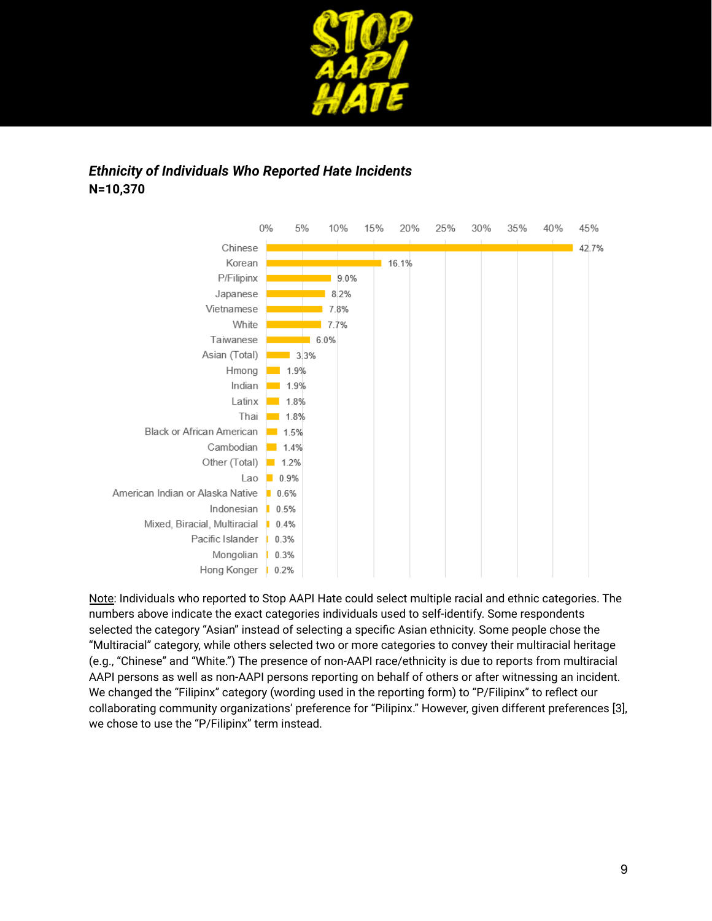

# *Ethnicity of Individuals Who Reported Hate Incidents* **N=10,370**



Note: Individuals who reported to Stop AAPI Hate could select multiple racial and ethnic categories. The numbers above indicate the exact categories individuals used to self-identify. Some respondents selected the category "Asian" instead of selecting a specific Asian ethnicity. Some people chose the "Multiracial" category, while others selected two or more categories to convey their multiracial heritage (e.g., "Chinese" and "White.") The presence of non-AAPI race/ethnicity is due to reports from multiracial AAPI persons as well as non-AAPI persons reporting on behalf of others or after witnessing an incident. We changed the "Filipinx" category (wording used in the reporting form) to "P/Filipinx" to reflect our collaborating community organizations' preference for "Pilipinx." However, given different preferences [3], we chose to use the "P/Filipinx" term instead.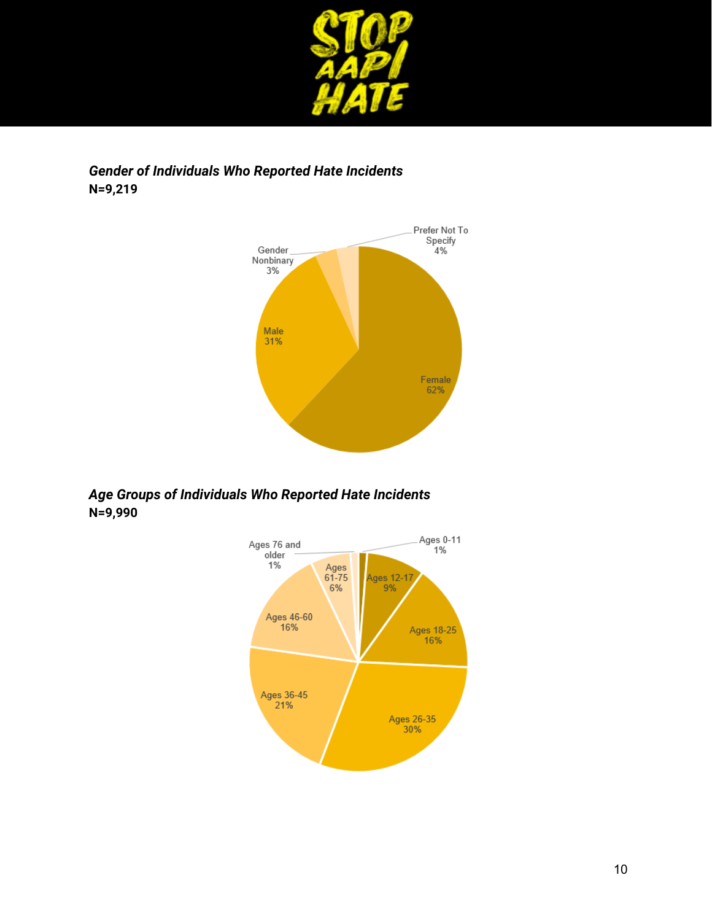

# *Gender of Individuals Who Reported Hate Incidents* **N=9,219**



# *Age Groups of Individuals Who Reported Hate Incidents* **N=9,990**

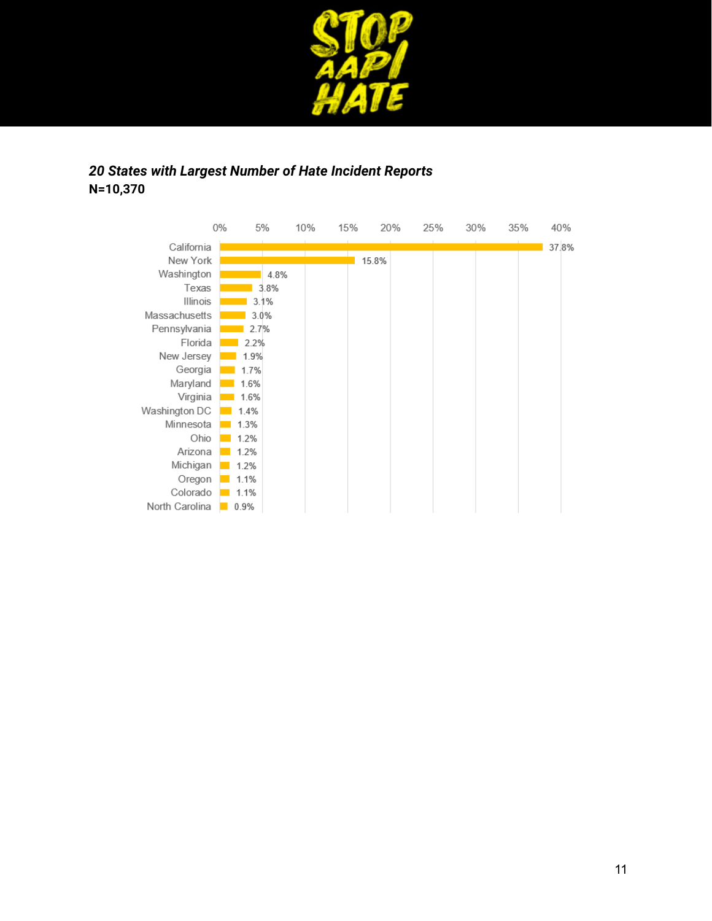

# *20 States with Largest Number of Hate Incident Reports* **N=10,370**

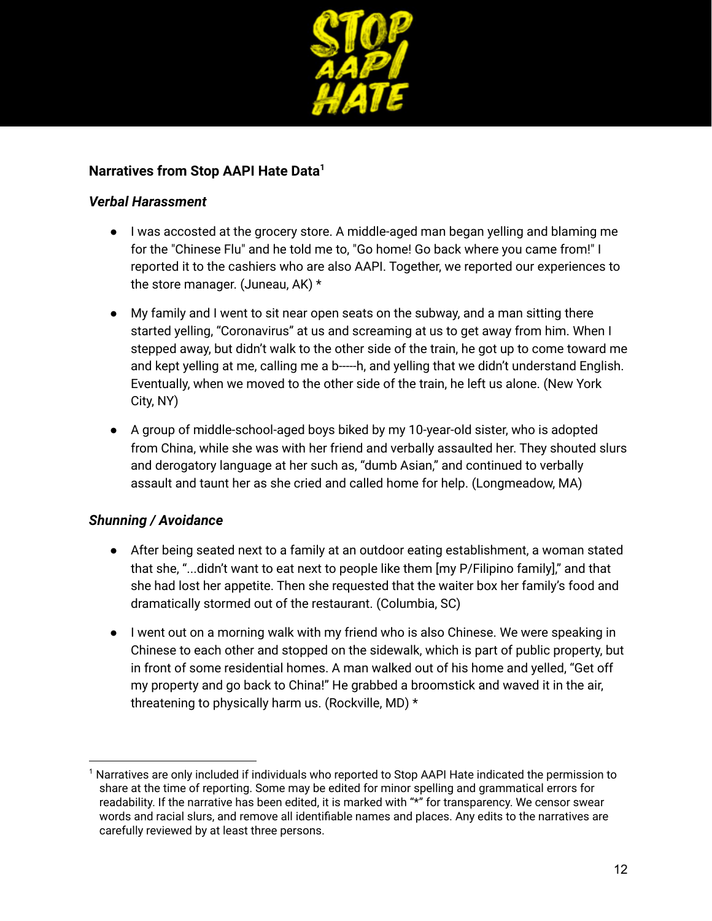

# **Narratives from Stop AAPI Hate Data<sup>1</sup>**

### *Verbal Harassment*

- I was accosted at the grocery store. A middle-aged man began yelling and blaming me for the "Chinese Flu" and he told me to, "Go home! Go back where you came from!" I reported it to the cashiers who are also AAPI. Together, we reported our experiences to the store manager. (Juneau, AK) \*
- My family and I went to sit near open seats on the subway, and a man sitting there started yelling, "Coronavirus" at us and screaming at us to get away from him. When I stepped away, but didn't walk to the other side of the train, he got up to come toward me and kept yelling at me, calling me a b----h, and yelling that we didn't understand English. Eventually, when we moved to the other side of the train, he left us alone. (New York City, NY)
- A group of middle-school-aged boys biked by my 10-year-old sister, who is adopted from China, while she was with her friend and verbally assaulted her. They shouted slurs and derogatory language at her such as, "dumb Asian," and continued to verbally assault and taunt her as she cried and called home for help. (Longmeadow, MA)

# *Shunning / Avoidance*

- After being seated next to a family at an outdoor eating establishment, a woman stated that she, "...didn't want to eat next to people like them [my P/Filipino family]," and that she had lost her appetite. Then she requested that the waiter box her family's food and dramatically stormed out of the restaurant. (Columbia, SC)
- I went out on a morning walk with my friend who is also Chinese. We were speaking in Chinese to each other and stopped on the sidewalk, which is part of public property, but in front of some residential homes. A man walked out of his home and yelled, "Get off my property and go back to China!" He grabbed a broomstick and waved it in the air, threatening to physically harm us. (Rockville, MD) \*

 $^1$  Narratives are only included if individuals who reported to Stop AAPI Hate indicated the permission to share at the time of reporting. Some may be edited for minor spelling and grammatical errors for readability. If the narrative has been edited, it is marked with "\*" for transparency. We censor swear words and racial slurs, and remove all identifiable names and places. Any edits to the narratives are carefully reviewed by at least three persons.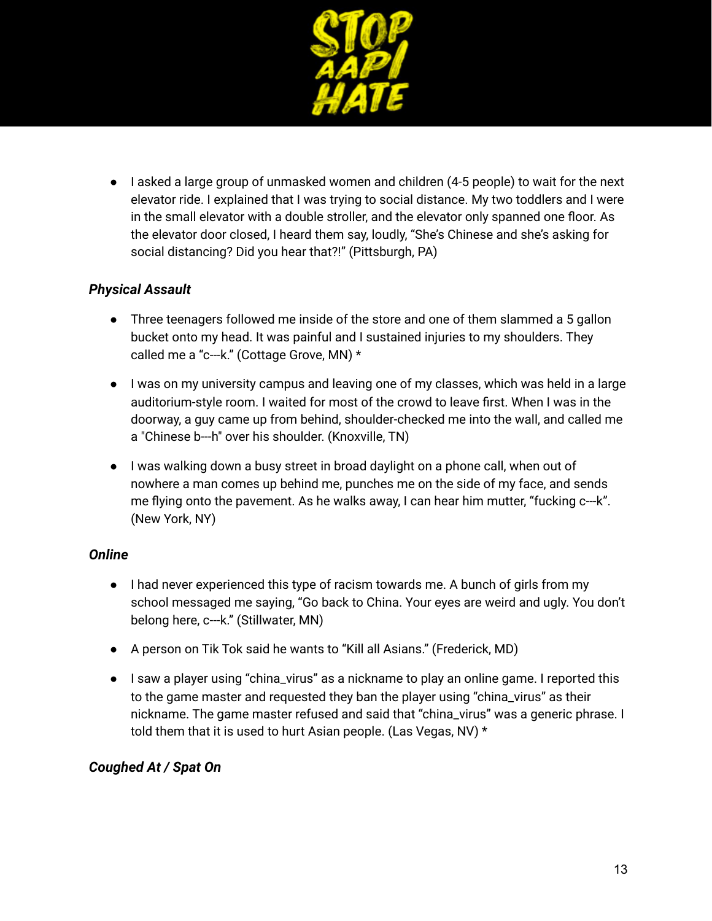

● lasked a large group of unmasked women and children (4-5 people) to wait for the next elevator ride. I explained that I was trying to social distance. My two toddlers and I were in the small elevator with a double stroller, and the elevator only spanned one floor. As the elevator door closed, I heard them say, loudly, "She's Chinese and she's asking for social distancing? Did you hear that?!" (Pittsburgh, PA)

# *Physical Assault*

- Three teenagers followed me inside of the store and one of them slammed a 5 gallon bucket onto my head. It was painful and I sustained injuries to my shoulders. They called me a "c---k." (Cottage Grove, MN) \*
- I was on my university campus and leaving one of my classes, which was held in a large auditorium-style room. I waited for most of the crowd to leave first. When I was in the doorway, a guy came up from behind, shoulder-checked me into the wall, and called me a "Chinese b---h" over his shoulder. (Knoxville, TN)
- I was walking down a busy street in broad daylight on a phone call, when out of nowhere a man comes up behind me, punches me on the side of my face, and sends me flying onto the pavement. As he walks away, I can hear him mutter, "fucking c---k". (New York, NY)

# *Online*

- I had never experienced this type of racism towards me. A bunch of girls from my school messaged me saying, "Go back to China. Your eyes are weird and ugly. You don't belong here, c---k." (Stillwater, MN)
- A person on Tik Tok said he wants to "Kill all Asians." (Frederick, MD)
- I saw a player using "china\_virus" as a nickname to play an online game. I reported this to the game master and requested they ban the player using "china\_virus" as their nickname. The game master refused and said that "china\_virus" was a generic phrase. I told them that it is used to hurt Asian people. (Las Vegas, NV) \*

# *Coughed At / Spat On*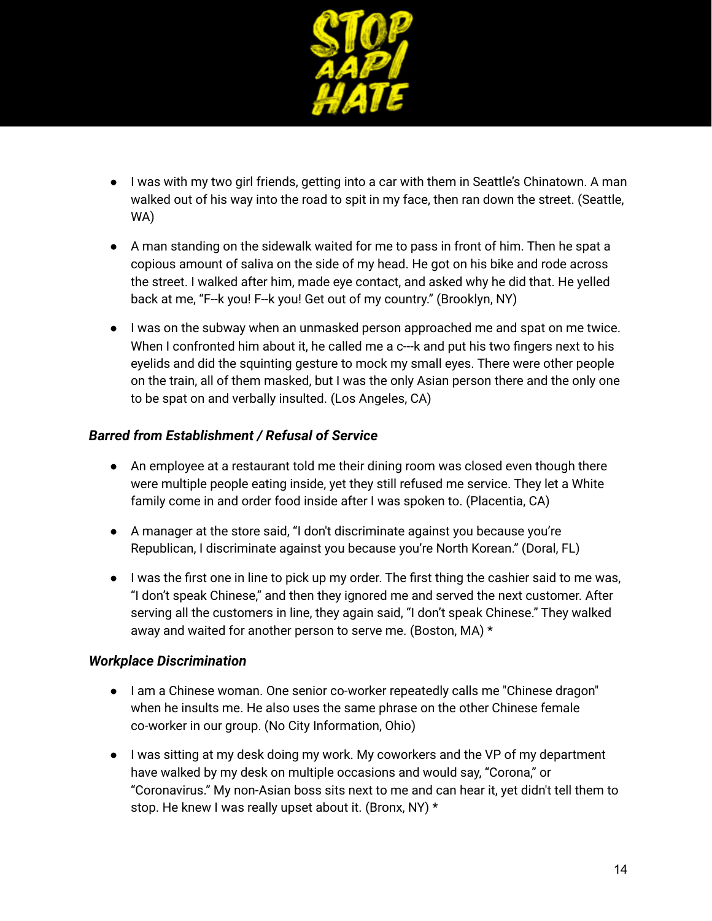

- I was with my two girl friends, getting into a car with them in Seattle's Chinatown. A man walked out of his way into the road to spit in my face, then ran down the street. (Seattle, WA)
- A man standing on the sidewalk waited for me to pass in front of him. Then he spat a copious amount of saliva on the side of my head. He got on his bike and rode across the street. I walked after him, made eye contact, and asked why he did that. He yelled back at me, "F--k you! F--k you! Get out of my country." (Brooklyn, NY)
- I was on the subway when an unmasked person approached me and spat on me twice. When I confronted him about it, he called me a c---k and put his two fingers next to his eyelids and did the squinting gesture to mock my small eyes. There were other people on the train, all of them masked, but I was the only Asian person there and the only one to be spat on and verbally insulted. (Los Angeles, CA)

### *Barred from Establishment / Refusal of Service*

- An employee at a restaurant told me their dining room was closed even though there were multiple people eating inside, yet they still refused me service. They let a White family come in and order food inside after I was spoken to. (Placentia, CA)
- A manager at the store said, "I don't discriminate against you because you're Republican, I discriminate against you because you're North Korean." (Doral, FL)
- I was the first one in line to pick up my order. The first thing the cashier said to me was, "I don't speak Chinese," and then they ignored me and served the next customer. After serving all the customers in line, they again said, "I don't speak Chinese." They walked away and waited for another person to serve me. (Boston, MA) \*

### *Workplace Discrimination*

- I am a Chinese woman. One senior co-worker repeatedly calls me "Chinese dragon" when he insults me. He also uses the same phrase on the other Chinese female co-worker in our group. (No City Information, Ohio)
- I was sitting at my desk doing my work. My coworkers and the VP of my department have walked by my desk on multiple occasions and would say, "Corona," or "Coronavirus." My non-Asian boss sits next to me and can hear it, yet didn't tell them to stop. He knew I was really upset about it. (Bronx, NY) \*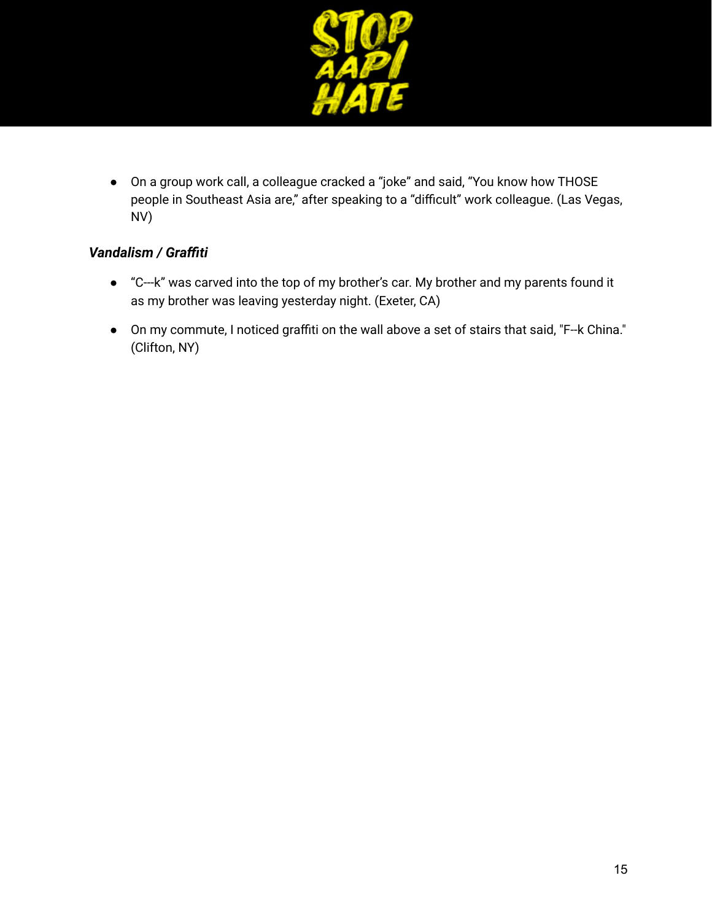

● On a group work call, a colleague cracked a "joke" and said, "You know how THOSE people in Southeast Asia are," after speaking to a "difficult" work colleague. (Las Vegas, NV)

# *Vandalism / Graffiti*

- "C---k" was carved into the top of my brother's car. My brother and my parents found it as my brother was leaving yesterday night. (Exeter, CA)
- On my commute, I noticed graffiti on the wall above a set of stairs that said, "F--k China." (Clifton, NY)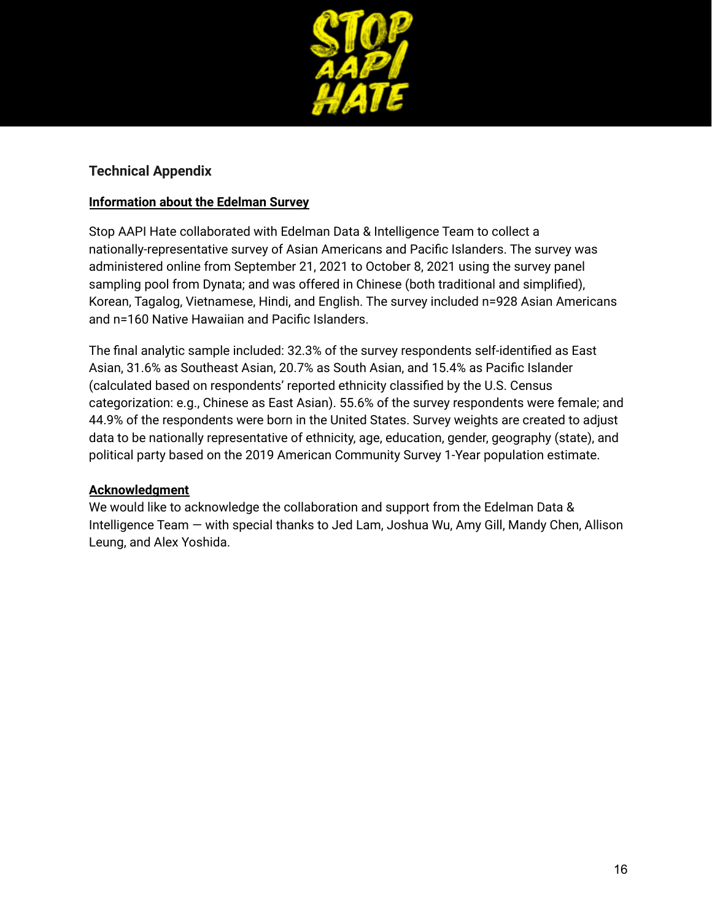

### **Technical Appendix**

### **Information about the Edelman Survey**

Stop AAPI Hate collaborated with Edelman Data & Intelligence Team to collect a nationally-representative survey of Asian Americans and Pacific Islanders. The survey was administered online from September 21, 2021 to October 8, 2021 using the survey panel sampling pool from Dynata; and was offered in Chinese (both traditional and simplified), Korean, Tagalog, Vietnamese, Hindi, and English. The survey included n=928 Asian Americans and n=160 Native Hawaiian and Pacific Islanders.

The final analytic sample included: 32.3% of the survey respondents self-identified as East Asian, 31.6% as Southeast Asian, 20.7% as South Asian, and 15.4% as Pacific Islander (calculated based on respondents' reported ethnicity classified by the U.S. Census categorization: e.g., Chinese as East Asian). 55.6% of the survey respondents were female; and 44.9% of the respondents were born in the United States. Survey weights are created to adjust data to be nationally representative of ethnicity, age, education, gender, geography (state), and political party based on the 2019 American Community Survey 1-Year population estimate.

#### **Acknowledgment**

We would like to acknowledge the collaboration and support from the Edelman Data & Intelligence Team — with special thanks to Jed Lam, Joshua Wu, Amy Gill, Mandy Chen, Allison Leung, and Alex Yoshida.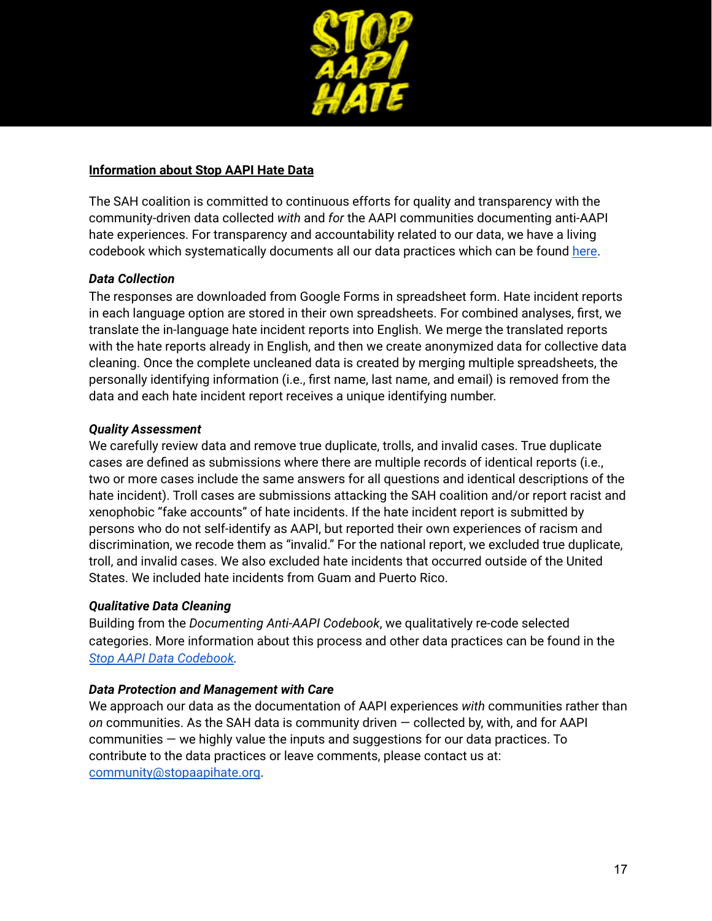

### **Information about Stop AAPI Hate Data**

The SAH coalition is committed to continuous efforts for quality and transparency with the community-driven data collected *with* and *for* the AAPI communities documenting anti-AAPI hate experiences. For transparency and accountability related to our data, we have a living codebook which systematically documents all our data practices which can be found [here.](https://docs.google.com/document/d/1BPgtHzqmq7naDaqcy7IBbC47d_vuXQW4/edit?usp=sharing&ouid=101741014034444415254&rtpof=true&sd=true)

### *Data Collection*

The responses are downloaded from Google Forms in spreadsheet form. Hate incident reports in each language option are stored in their own spreadsheets. For combined analyses, first, we translate the in-language hate incident reports into English. We merge the translated reports with the hate reports already in English, and then we create anonymized data for collective data cleaning. Once the complete uncleaned data is created by merging multiple spreadsheets, the personally identifying information (i.e., first name, last name, and email) is removed from the data and each hate incident report receives a unique identifying number.

### *Quality Assessment*

We carefully review data and remove true duplicate, trolls, and invalid cases. True duplicate cases are defined as submissions where there are multiple records of identical reports (i.e., two or more cases include the same answers for all questions and identical descriptions of the hate incident). Troll cases are submissions attacking the SAH coalition and/or report racist and xenophobic "fake accounts" of hate incidents. If the hate incident report is submitted by persons who do not self-identify as AAPI, but reported their own experiences of racism and discrimination, we recode them as "invalid." For the national report, we excluded true duplicate, troll, and invalid cases. We also excluded hate incidents that occurred outside of the United States. We included hate incidents from Guam and Puerto Rico.

#### *Qualitative Data Cleaning*

Building from the *Documenting Anti-AAPI Codebook*, we qualitatively re-code selected categories. More information about this process and other data practices can be found in the *Stop AAPI Data [Codebook](https://docs.google.com/document/d/1BPgtHzqmq7naDaqcy7IBbC47d_vuXQW4/edit?usp=sharing&ouid=101741014034444415254&rtpof=true&sd=true).*

#### *Data Protection and Management with Care*

We approach our data as the documentation of AAPI experiences *with* communities rather than *on* communities. As the SAH data is community driven — collected by, with, and for AAPI communities — we highly value the inputs and suggestions for our data practices. To contribute to the data practices or leave comments, please contact us at: [community@stopaapihate.org](mailto:community@stopaapihate.org).